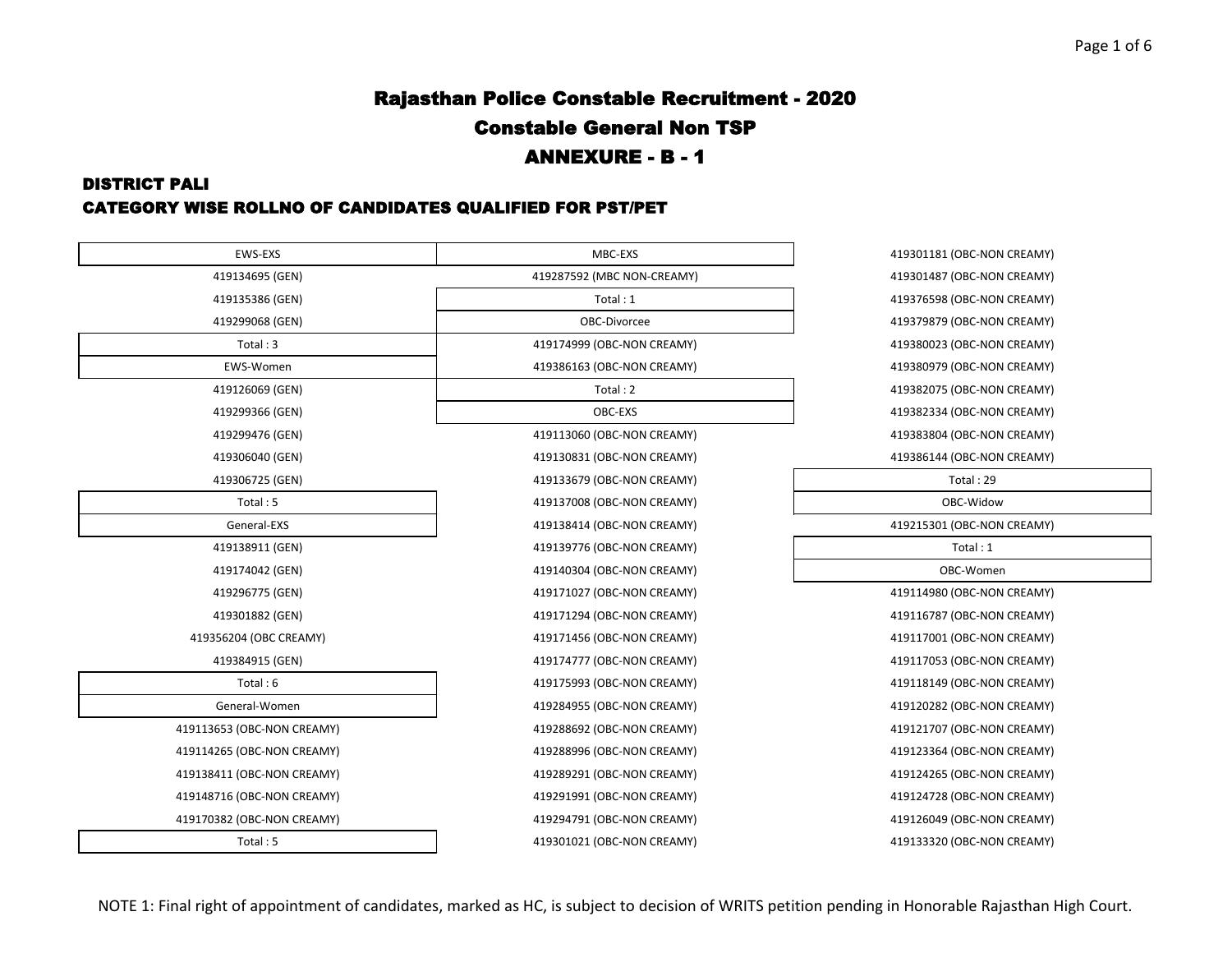#### DISTRICT PALI CATEGORY WISE ROLLNO OF CANDIDATES QUALIFIED FOR PST/PET

| <b>EWS-EXS</b>             | MBC-EXS                    | 419301181 (OBC-NON CREAMY) |
|----------------------------|----------------------------|----------------------------|
| 419134695 (GEN)            | 419287592 (MBC NON-CREAMY) | 419301487 (OBC-NON CREAMY) |
| 419135386 (GEN)            | Total: 1                   | 419376598 (OBC-NON CREAMY) |
| 419299068 (GEN)            | OBC-Divorcee               | 419379879 (OBC-NON CREAMY) |
| Total:3                    | 419174999 (OBC-NON CREAMY) | 419380023 (OBC-NON CREAMY) |
| EWS-Women                  | 419386163 (OBC-NON CREAMY) | 419380979 (OBC-NON CREAMY) |
| 419126069 (GEN)            | Total: 2                   | 419382075 (OBC-NON CREAMY) |
| 419299366 (GEN)            | OBC-EXS                    | 419382334 (OBC-NON CREAMY) |
| 419299476 (GEN)            | 419113060 (OBC-NON CREAMY) | 419383804 (OBC-NON CREAMY) |
| 419306040 (GEN)            | 419130831 (OBC-NON CREAMY) | 419386144 (OBC-NON CREAMY) |
| 419306725 (GEN)            | 419133679 (OBC-NON CREAMY) | Total: 29                  |
| Total:5                    | 419137008 (OBC-NON CREAMY) | OBC-Widow                  |
| General-EXS                | 419138414 (OBC-NON CREAMY) | 419215301 (OBC-NON CREAMY) |
| 419138911 (GEN)            | 419139776 (OBC-NON CREAMY) | Total: 1                   |
| 419174042 (GEN)            | 419140304 (OBC-NON CREAMY) | OBC-Women                  |
| 419296775 (GEN)            | 419171027 (OBC-NON CREAMY) | 419114980 (OBC-NON CREAMY) |
| 419301882 (GEN)            | 419171294 (OBC-NON CREAMY) | 419116787 (OBC-NON CREAMY) |
| 419356204 (OBC CREAMY)     | 419171456 (OBC-NON CREAMY) | 419117001 (OBC-NON CREAMY) |
| 419384915 (GEN)            | 419174777 (OBC-NON CREAMY) | 419117053 (OBC-NON CREAMY) |
| Total: 6                   | 419175993 (OBC-NON CREAMY) | 419118149 (OBC-NON CREAMY) |
| General-Women              | 419284955 (OBC-NON CREAMY) | 419120282 (OBC-NON CREAMY) |
| 419113653 (OBC-NON CREAMY) | 419288692 (OBC-NON CREAMY) | 419121707 (OBC-NON CREAMY) |
| 419114265 (OBC-NON CREAMY) | 419288996 (OBC-NON CREAMY) | 419123364 (OBC-NON CREAMY) |
| 419138411 (OBC-NON CREAMY) | 419289291 (OBC-NON CREAMY) | 419124265 (OBC-NON CREAMY) |
| 419148716 (OBC-NON CREAMY) | 419291991 (OBC-NON CREAMY) | 419124728 (OBC-NON CREAMY) |
| 419170382 (OBC-NON CREAMY) | 419294791 (OBC-NON CREAMY) | 419126049 (OBC-NON CREAMY) |
| Total: 5                   | 419301021 (OBC-NON CREAMY) | 419133320 (OBC-NON CREAMY) |
|                            |                            |                            |

B301181 (OBC-NON CREAMY) 419301487 (OBC-NON CREAMY) 4376598 (OBC-NON CREAMY) 419299 (OBC-NON CREAMY) 9380023 (OBC-NON CREAMY) 9380979 (OBC-NON CREAMY) 419126069 (GEN) Total : 2 419382075 (OBC-NON CREAMY) 4382334 (OBC-NON CREAMY) 4383804 (OBC-NON CREAMY) 414 (OBC-NON CREAMY) (OBC-NON CREAMY) 4215301 114980 (OBC-NON CREAMY) 4116787 (OBC-NON CREAMY) 419356204 (OBC CREAMY) 419171456 (OBC-NON CREAMY) 419117001 (OBC-NON CREAMY) 417053 (OBC-NON CREAMY) 118149 (OBC-NON CREAMY) 9120282 (OBC-NON CREAMY) 4121707 (OBC-NON CREAMY) 419114265 (OBC-NON CREAMY) 419288996 (OBC-NON CREAMY) 419123364 (OBC-NON CREAMY) 4124265 (OBC-NON CREAMY) 419148716 (OBC-NON CREAMY) 419291991 (OBC-NON CREAMY) 419124728 (OBC-NON CREAMY) 419170382 (OBC-NON CREAMY) 419294791 (OBC-NON CREAMY) 419126049 (OBC-NON CREAMY)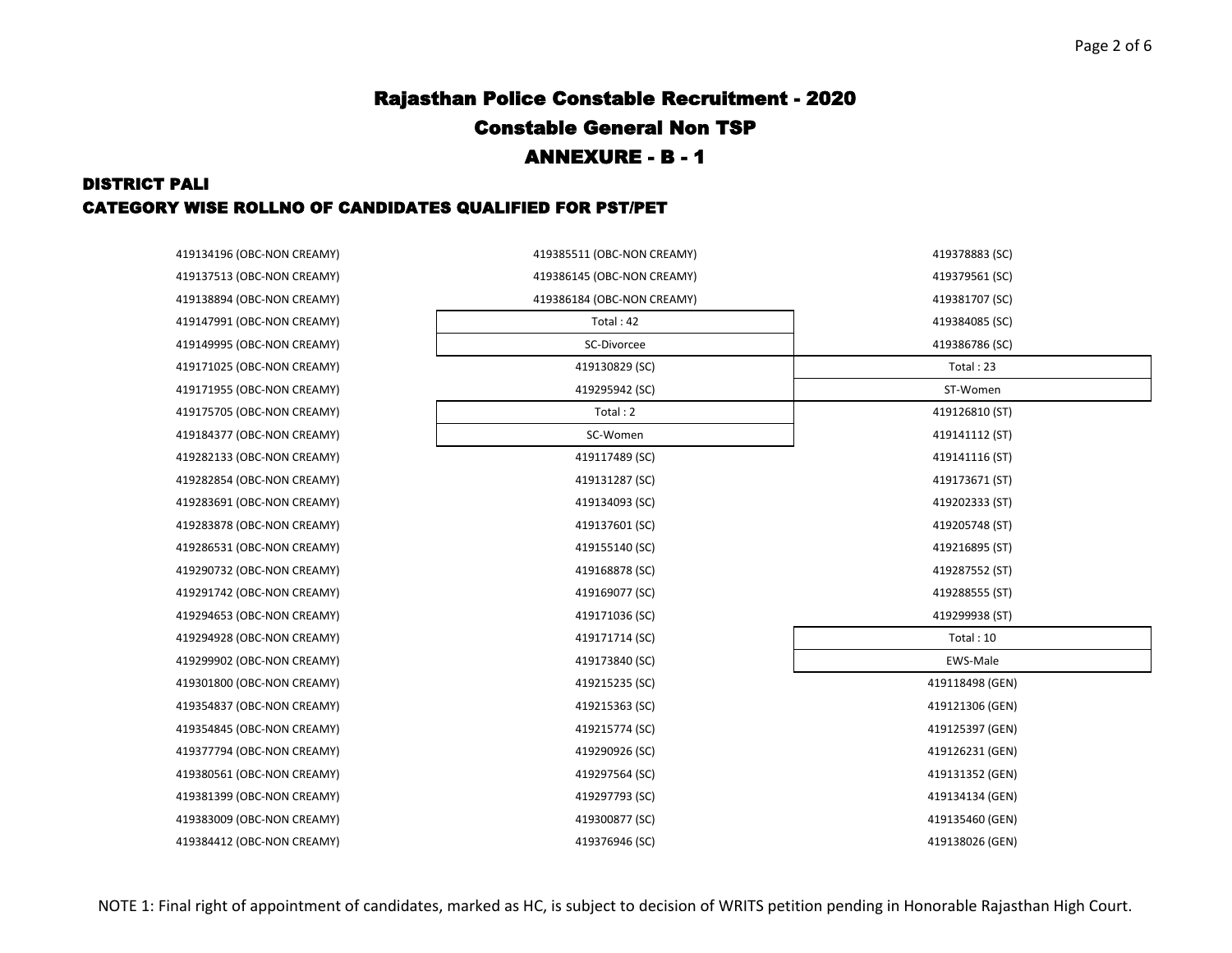### DISTRICT PALI CATEGORY WISE ROLLNO OF CANDIDATES QUALIFIED FOR PST/PET

| 419134196 (OBC-NON CREAMY) | 419385511 (OBC-NON CREAMY) | 419378883 (SC)  |
|----------------------------|----------------------------|-----------------|
| 419137513 (OBC-NON CREAMY) | 419386145 (OBC-NON CREAMY) | 419379561 (SC)  |
| 419138894 (OBC-NON CREAMY) | 419386184 (OBC-NON CREAMY) | 419381707 (SC)  |
| 419147991 (OBC-NON CREAMY) | Total: 42                  | 419384085 (SC)  |
| 419149995 (OBC-NON CREAMY) | SC-Divorcee                | 419386786 (SC)  |
| 419171025 (OBC-NON CREAMY) | 419130829 (SC)             | Total: 23       |
| 419171955 (OBC-NON CREAMY) | 419295942 (SC)             | ST-Women        |
| 419175705 (OBC-NON CREAMY) | Total: 2                   | 419126810 (ST)  |
| 419184377 (OBC-NON CREAMY) | SC-Women                   | 419141112 (ST)  |
| 419282133 (OBC-NON CREAMY) | 419117489 (SC)             | 419141116 (ST)  |
| 419282854 (OBC-NON CREAMY) | 419131287 (SC)             | 419173671 (ST)  |
| 419283691 (OBC-NON CREAMY) | 419134093 (SC)             | 419202333 (ST)  |
| 419283878 (OBC-NON CREAMY) | 419137601 (SC)             | 419205748 (ST)  |
| 419286531 (OBC-NON CREAMY) | 419155140 (SC)             | 419216895 (ST)  |
| 419290732 (OBC-NON CREAMY) | 419168878 (SC)             | 419287552 (ST)  |
| 419291742 (OBC-NON CREAMY) | 419169077 (SC)             | 419288555 (ST)  |
| 419294653 (OBC-NON CREAMY) | 419171036 (SC)             | 419299938 (ST)  |
| 419294928 (OBC-NON CREAMY) | 419171714 (SC)             | Total: 10       |
| 419299902 (OBC-NON CREAMY) | 419173840 (SC)             | EWS-Male        |
| 419301800 (OBC-NON CREAMY) | 419215235 (SC)             | 419118498 (GEN) |
| 419354837 (OBC-NON CREAMY) | 419215363 (SC)             | 419121306 (GEN) |
| 419354845 (OBC-NON CREAMY) | 419215774 (SC)             | 419125397 (GEN) |
| 419377794 (OBC-NON CREAMY) | 419290926 (SC)             | 419126231 (GEN) |
| 419380561 (OBC-NON CREAMY) | 419297564 (SC)             | 419131352 (GEN) |
| 419381399 (OBC-NON CREAMY) | 419297793 (SC)             | 419134134 (GEN) |
| 419383009 (OBC-NON CREAMY) | 419300877 (SC)             | 419135460 (GEN) |
| 419384412 (OBC-NON CREAMY) | 419376946 (SC)             | 419138026 (GEN) |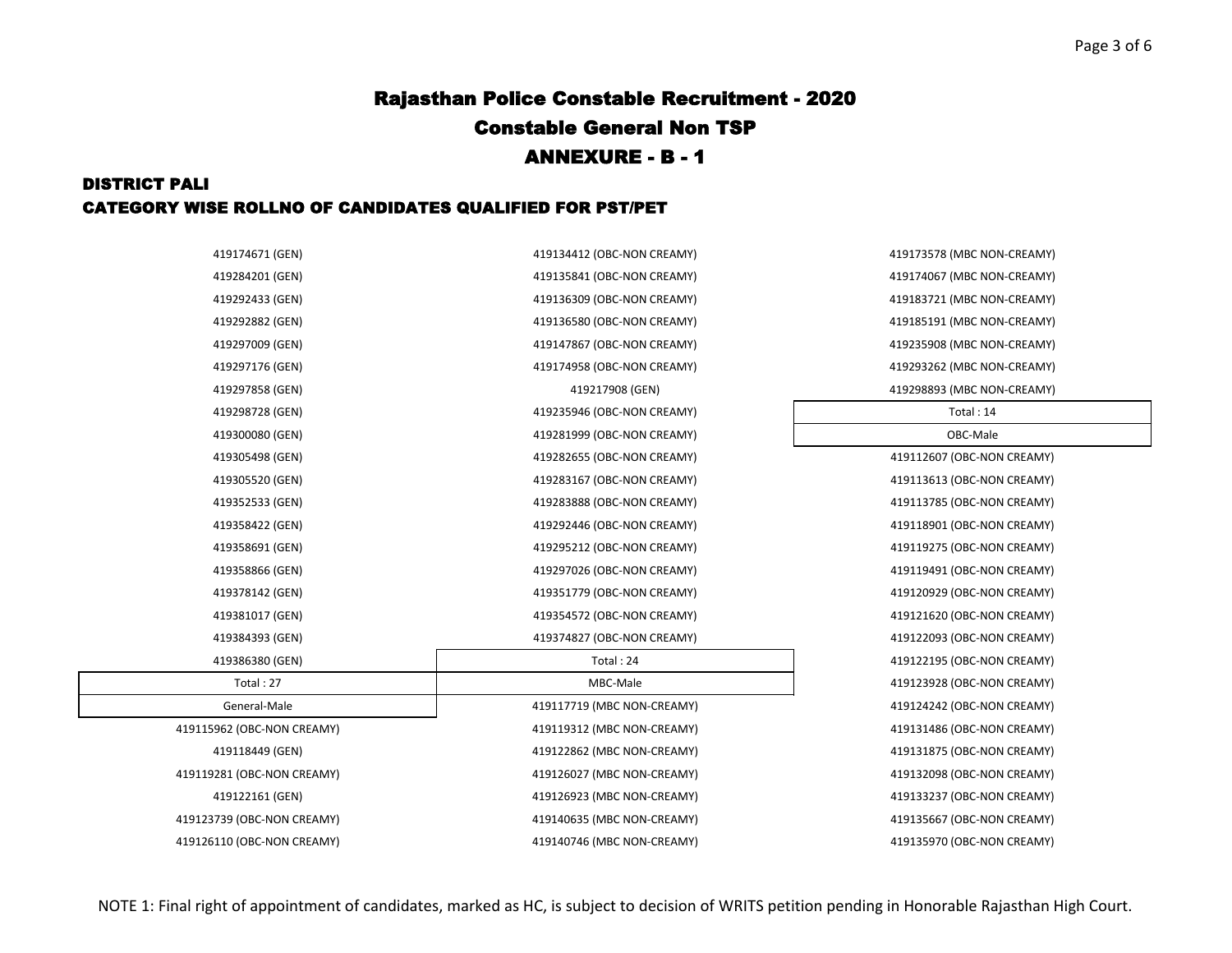### DISTRICT PALI CATEGORY WISE ROLLNO OF CANDIDATES QUALIFIED FOR PST/PET

| 419174671 (GEN)            | 419134412 (OBC-NON CREAMY) | 419173578 (MBC NON-CREAMY) |
|----------------------------|----------------------------|----------------------------|
| 419284201 (GEN)            | 419135841 (OBC-NON CREAMY) | 419174067 (MBC NON-CREAMY) |
| 419292433 (GEN)            | 419136309 (OBC-NON CREAMY) | 419183721 (MBC NON-CREAMY) |
| 419292882 (GEN)            | 419136580 (OBC-NON CREAMY) | 419185191 (MBC NON-CREAMY) |
| 419297009 (GEN)            | 419147867 (OBC-NON CREAMY) | 419235908 (MBC NON-CREAMY) |
| 419297176 (GEN)            | 419174958 (OBC-NON CREAMY) | 419293262 (MBC NON-CREAMY) |
| 419297858 (GEN)            | 419217908 (GEN)            | 419298893 (MBC NON-CREAMY) |
| 419298728 (GEN)            | 419235946 (OBC-NON CREAMY) | Total: 14                  |
| 419300080 (GEN)            | 419281999 (OBC-NON CREAMY) | OBC-Male                   |
| 419305498 (GEN)            | 419282655 (OBC-NON CREAMY) | 419112607 (OBC-NON CREAMY) |
| 419305520 (GEN)            | 419283167 (OBC-NON CREAMY) | 419113613 (OBC-NON CREAMY) |
| 419352533 (GEN)            | 419283888 (OBC-NON CREAMY) | 419113785 (OBC-NON CREAMY) |
| 419358422 (GEN)            | 419292446 (OBC-NON CREAMY) | 419118901 (OBC-NON CREAMY) |
| 419358691 (GEN)            | 419295212 (OBC-NON CREAMY) | 419119275 (OBC-NON CREAMY) |
| 419358866 (GEN)            | 419297026 (OBC-NON CREAMY) | 419119491 (OBC-NON CREAMY) |
| 419378142 (GEN)            | 419351779 (OBC-NON CREAMY) | 419120929 (OBC-NON CREAMY) |
| 419381017 (GEN)            | 419354572 (OBC-NON CREAMY) | 419121620 (OBC-NON CREAMY) |
| 419384393 (GEN)            | 419374827 (OBC-NON CREAMY) | 419122093 (OBC-NON CREAMY) |
| 419386380 (GEN)            | Total: 24                  | 419122195 (OBC-NON CREAMY) |
| Total: 27                  | MBC-Male                   | 419123928 (OBC-NON CREAMY) |
| General-Male               | 419117719 (MBC NON-CREAMY) | 419124242 (OBC-NON CREAMY) |
| 419115962 (OBC-NON CREAMY) | 419119312 (MBC NON-CREAMY) | 419131486 (OBC-NON CREAMY) |
| 419118449 (GEN)            | 419122862 (MBC NON-CREAMY) | 419131875 (OBC-NON CREAMY) |
| 419119281 (OBC-NON CREAMY) | 419126027 (MBC NON-CREAMY) | 419132098 (OBC-NON CREAMY) |
| 419122161 (GEN)            | 419126923 (MBC NON-CREAMY) | 419133237 (OBC-NON CREAMY) |
| 419123739 (OBC-NON CREAMY) | 419140635 (MBC NON-CREAMY) | 419135667 (OBC-NON CREAMY) |
| 419126110 (OBC-NON CREAMY) | 419140746 (MBC NON-CREAMY) | 419135970 (OBC-NON CREAMY) |

419174067 (MBC NON-CREAMY) 419183721 (MBC NON-CREAMY) 419185191 (MBC NON-CREAMY) 419235908 (MBC NON-CREAMY) 419293262 (MBC NON-CREAMY) 419298893 (MBC NON-CREAMY) 419112607 (OBC-NON CREAMY) 419113613 (OBC-NON CREAMY) 419113785 (OBC-NON CREAMY) 419118901 (OBC-NON CREAMY) 419119275 (OBC-NON CREAMY) 419119491 (OBC-NON CREAMY) 419378142 (GEN) 419351779 (OBC-NON CREAMY) 419120929 (OBC-NON CREAMY) 419121620 (OBC-NON CREAMY) 419122093 (OBC-NON CREAMY) 419122195 (OBC-NON CREAMY) 419123928 (OBC-NON CREAMY) 419124242 (OBC-NON CREAMY) 419131486 (OBC-NON CREAMY) 419131875 (OBC-NON CREAMY) 419132098 (OBC-NON CREAMY) 419133237 (OBC-NON CREAMY) 419135667 (OBC-NON CREAMY) 419135970 (OBC-NON CREAMY)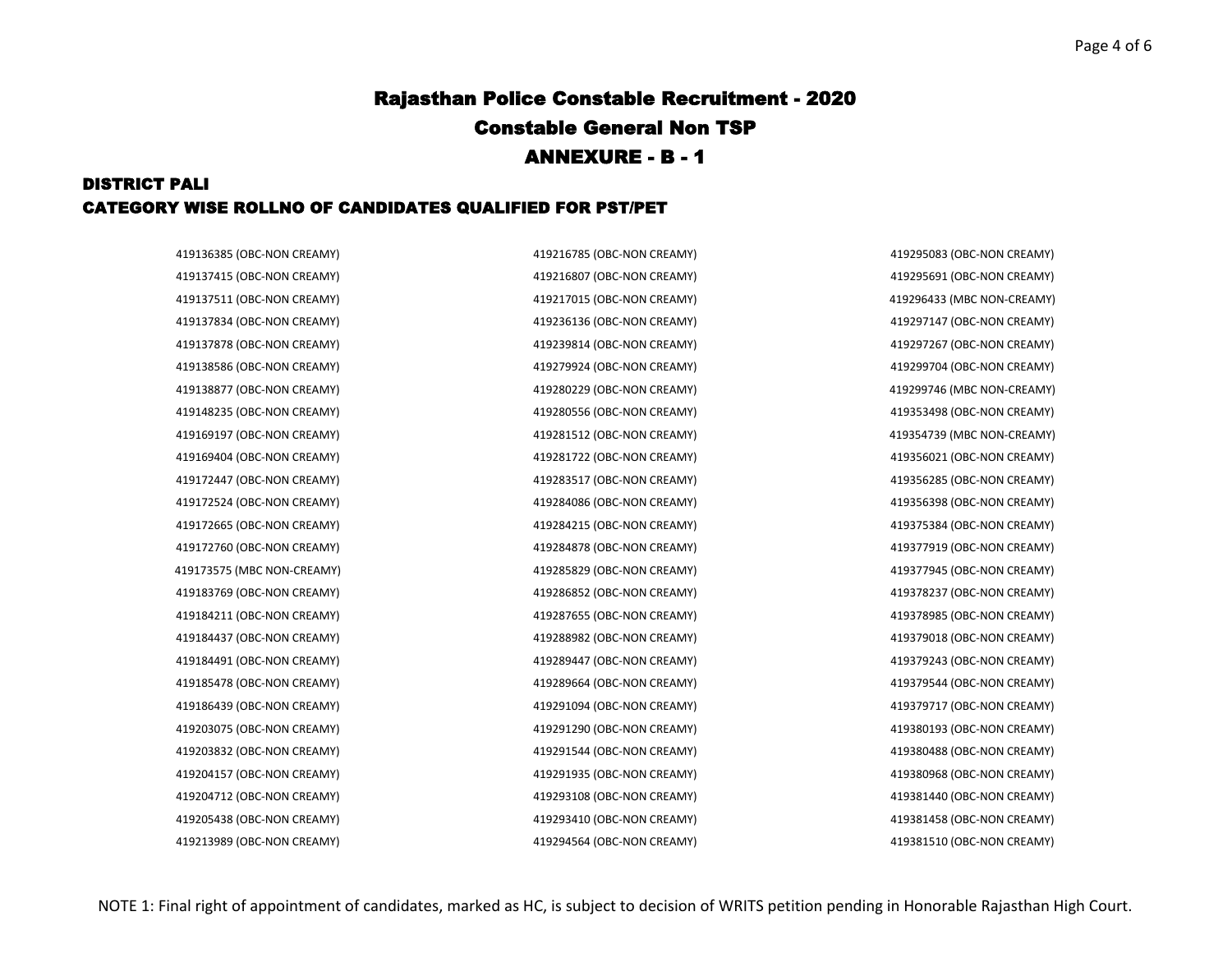#### DISTRICT PALI CATEGORY WISE ROLLNO OF CANDIDATES QUALIFIED FOR PST/PET

419137415 (OBC-NON CREAMY) 419216807 (OBC-NON CREAMY) 419295691 (OBC-NON CREAMY) 419137511 (OBC-NON CREAMY) 419217015 (OBC-NON CREAMY) 419296433 (MBC NON-CREAMY) 419137834 (OBC-NON CREAMY) 419236136 (OBC-NON CREAMY) 419297147 (OBC-NON CREAMY) 419137878 (OBC-NON CREAMY) 419239814 (OBC-NON CREAMY) 419297267 (OBC-NON CREAMY) 419138586 (OBC-NON CREAMY) 419279924 (OBC-NON CREAMY) 419299704 (OBC-NON CREAMY) 419138877 (OBC-NON CREAMY) 419280229 (OBC-NON CREAMY) 419299746 (MBC NON-CREAMY) 419148235 (OBC-NON CREAMY) 419280556 (OBC-NON CREAMY) 419353498 (OBC-NON CREAMY) 419169197 (OBC-NON CREAMY) 419281512 (OBC-NON CREAMY) 419354739 (MBC NON-CREAMY) 419169404 (OBC-NON CREAMY) 419281722 (OBC-NON CREAMY) 419356021 (OBC-NON CREAMY) 419172447 (OBC-NON CREAMY) 419283517 (OBC-NON CREAMY) 419356285 (OBC-NON CREAMY) 419172524 (OBC-NON CREAMY) 419284086 (OBC-NON CREAMY) 419356398 (OBC-NON CREAMY) 419172665 (OBC-NON CREAMY) 419284215 (OBC-NON CREAMY) 419375384 (OBC-NON CREAMY) 419172760 (OBC-NON CREAMY) 419284878 (OBC-NON CREAMY) 419377919 (OBC-NON CREAMY) 419173575 (MBC NON-CREAMY) 419285829 (OBC-NON CREAMY) 419377945 (OBC-NON CREAMY) 419183769 (OBC-NON CREAMY) 419286852 (OBC-NON CREAMY) 419378237 (OBC-NON CREAMY) 419184211 (OBC-NON CREAMY) 419287655 (OBC-NON CREAMY) 419378985 (OBC-NON CREAMY) 419184437 (OBC-NON CREAMY) 419288982 (OBC-NON CREAMY) 419379018 (OBC-NON CREAMY) 419184491 (OBC-NON CREAMY) 419289447 (OBC-NON CREAMY) 419379243 (OBC-NON CREAMY) 419185478 (OBC-NON CREAMY) 419289664 (OBC-NON CREAMY) 419379544 (OBC-NON CREAMY) 419186439 (OBC-NON CREAMY) 419291094 (OBC-NON CREAMY) 419379717 (OBC-NON CREAMY) 419203075 (OBC-NON CREAMY) 419291290 (OBC-NON CREAMY) 419380193 (OBC-NON CREAMY) 419203832 (OBC-NON CREAMY) 419291544 (OBC-NON CREAMY) 419380488 (OBC-NON CREAMY) 419204157 (OBC-NON CREAMY) 419291935 (OBC-NON CREAMY) 419380968 (OBC-NON CREAMY) 419204712 (OBC-NON CREAMY) 419293108 (OBC-NON CREAMY) 419381440 (OBC-NON CREAMY) 419205438 (OBC-NON CREAMY) 419293410 (OBC-NON CREAMY) 419381458 (OBC-NON CREAMY)

419136385 (OBC-NON CREAMY) 419216785 (OBC-NON CREAMY) 419295083 (OBC-NON CREAMY)

419213989 (OBC-NON CREAMY) 419294564 (OBC-NON CREAMY) 419381510 (OBC-NON CREAMY)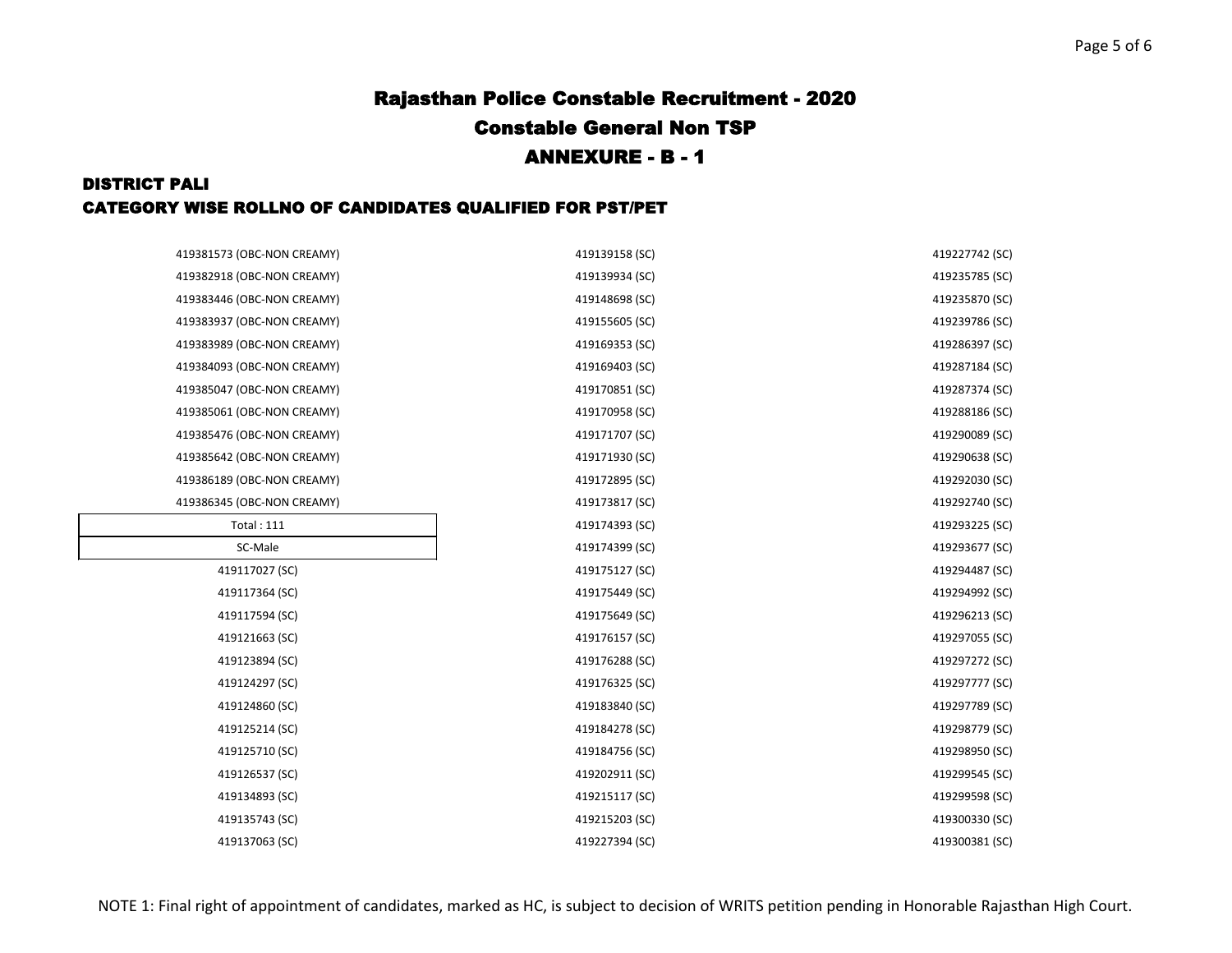### DISTRICT PALI CATEGORY WISE ROLLNO OF CANDIDATES QUALIFIED FOR PST/PET

| 419381573 (OBC-NON CREAMY) | 419139158 (SC) | 419227742 (SC) |
|----------------------------|----------------|----------------|
| 419382918 (OBC-NON CREAMY) | 419139934 (SC) | 419235785 (SC) |
| 419383446 (OBC-NON CREAMY) | 419148698 (SC) | 419235870 (SC) |
| 419383937 (OBC-NON CREAMY) | 419155605 (SC) | 419239786 (SC) |
|                            |                |                |
| 419383989 (OBC-NON CREAMY) | 419169353 (SC) | 419286397 (SC) |
| 419384093 (OBC-NON CREAMY) | 419169403 (SC) | 419287184 (SC) |
| 419385047 (OBC-NON CREAMY) | 419170851 (SC) | 419287374 (SC) |
| 419385061 (OBC-NON CREAMY) | 419170958 (SC) | 419288186 (SC) |
| 419385476 (OBC-NON CREAMY) | 419171707 (SC) | 419290089 (SC) |
| 419385642 (OBC-NON CREAMY) | 419171930 (SC) | 419290638 (SC) |
| 419386189 (OBC-NON CREAMY) | 419172895 (SC) | 419292030 (SC) |
| 419386345 (OBC-NON CREAMY) | 419173817 (SC) | 419292740 (SC) |
| <b>Total: 111</b>          | 419174393 (SC) | 419293225 (SC) |
| SC-Male                    | 419174399 (SC) | 419293677 (SC) |
| 419117027 (SC)             | 419175127 (SC) | 419294487 (SC) |
| 419117364 (SC)             | 419175449 (SC) | 419294992 (SC) |
| 419117594 (SC)             | 419175649 (SC) | 419296213 (SC) |
| 419121663 (SC)             | 419176157 (SC) | 419297055 (SC) |
| 419123894 (SC)             | 419176288 (SC) | 419297272 (SC) |
| 419124297 (SC)             | 419176325 (SC) | 419297777 (SC) |
| 419124860 (SC)             | 419183840 (SC) | 419297789 (SC) |
| 419125214 (SC)             | 419184278 (SC) | 419298779 (SC) |
| 419125710 (SC)             | 419184756 (SC) | 419298950 (SC) |
| 419126537 (SC)             | 419202911 (SC) | 419299545 (SC) |
| 419134893 (SC)             | 419215117 (SC) | 419299598 (SC) |
| 419135743 (SC)             | 419215203 (SC) | 419300330 (SC) |
| 419137063 (SC)             | 419227394 (SC) | 419300381 (SC) |
|                            |                |                |